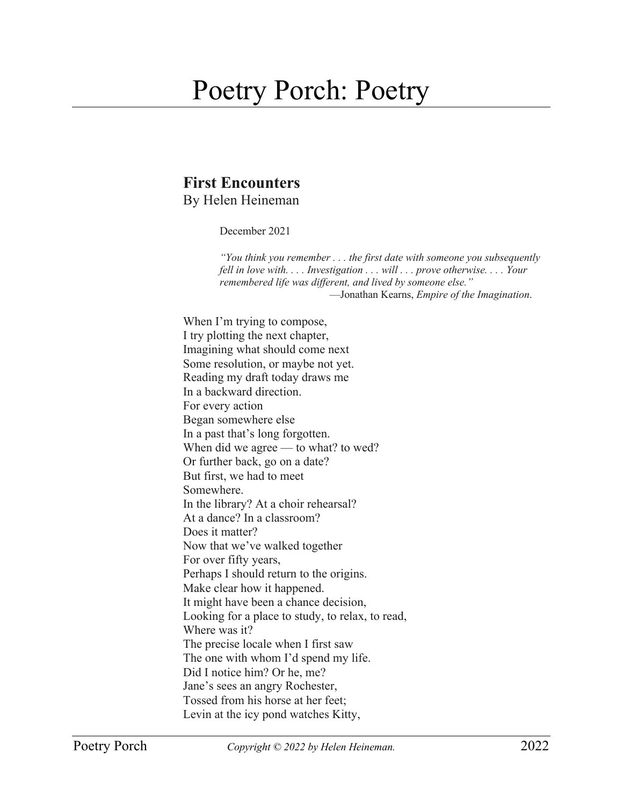## Poetry Porch: Poetry

## **First Encounters** By Helen Heineman

December 2021

*"You think you remember . . . the first date with someone you subsequently fell in love with. . . . Investigation . . . will . . . prove otherwise. . . . Your remembered life was different, and lived by someone else."* —Jonathan Kearns, *Empire of the Imagination*.

When I'm trying to compose, I try plotting the next chapter, Imagining what should come next Some resolution, or maybe not yet. Reading my draft today draws me In a backward direction. For every action Began somewhere else In a past that's long forgotten. When did we agree  $-$  to what? to wed? Or further back, go on a date? But first, we had to meet Somewhere. In the library? At a choir rehearsal? At a dance? In a classroom? Does it matter? Now that we've walked together For over fifty years, Perhaps I should return to the origins. Make clear how it happened. It might have been a chance decision, Looking for a place to study, to relax, to read, Where was it? The precise locale when I first saw The one with whom I'd spend my life. Did I notice him? Or he, me? Jane's sees an angry Rochester, Tossed from his horse at her feet; Levin at the icy pond watches Kitty,